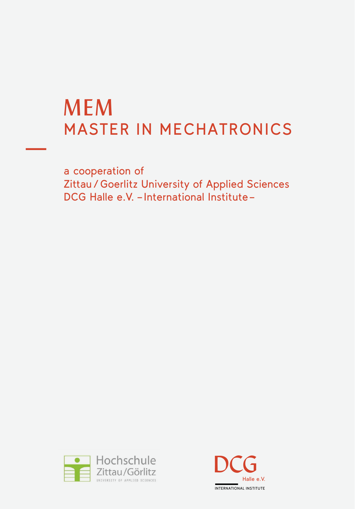# MEM MASTER IN MECHATRONICS

a cooperation of Zittau / Goerlitz University of Applied Sciences DCG Halle e.V. – International Institute –



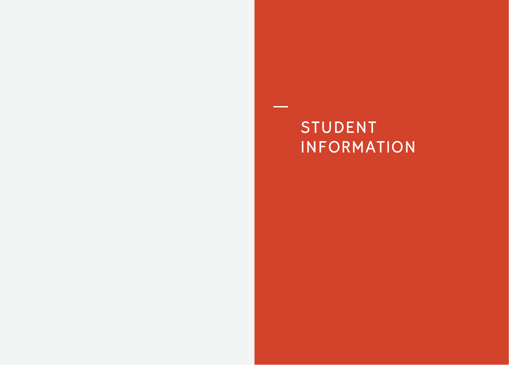# STUDENT INFORMATION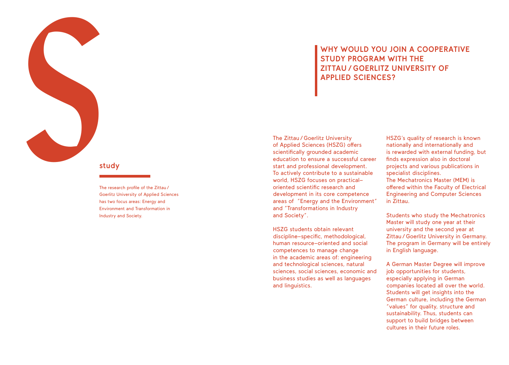### **WHY WOULD YOU JOIN A COOPERATIVE STUDY PROGRAM WITH THE ZITTAU / GOERLITZ UNIVERSITY OF APPLIED SCIENCES?**

The Zittau / Goerlitz University of Applied Sciences (H SZG) o ffers scientifically grounded academic education to ensure a successful career<br>start and professional development. To actively contribute to a sustainable world, H SZG focuses on practicaloriented scientific research and development in its core competence areas of " Energy and the Environment" and " Transformations in Industry and Society".

H SZG students obtain relevant discipline-specific, methodological, human resource-oriented and social competences to manage change in the academic areas of: engineering and technological sciences, natural sciences, social sciences, economic and business studies as well as languages and linguistics.

HSZG's quality of research is known nationally and internationally and is rewarded with external funding, but finds expression also in doctoral projects and various publications in specialist disciplines. The Mechatronics Master (M EM) is o ffered within the Faculty of Electrical Engineering and Computer Sciences in Zittau.

Students who study the Mechatronics Master will study one year at their university and the second year at Zittau / Goerlitz University in Germany. The program in Germany will be entirely in English language.

A German Master Degree will improve job opportunities for students, especially applying in German companies located all over the world. Students will get insights into the German culture, including the German "values" for quality, structure and sustainability. Thus, students can support to build bridges between cultures in their future roles.

### **study**

s The research profile of the Zittau / Goerlitz University of Applied Sciences has two focus areas: Energy and Environment and Transformation in Industry and Society.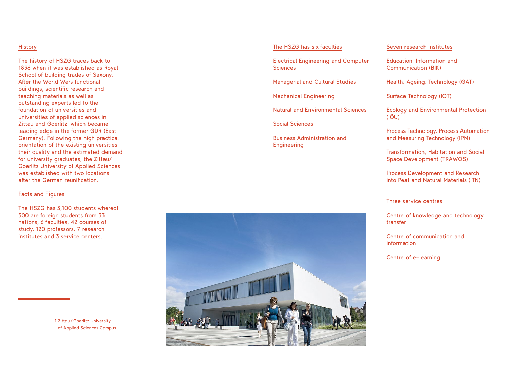#### **History**

The history of HSZG traces back to 1836 when it was established as Royal School of building trades of Saxony. After the World Wars functional buildings, scientific research and teaching materials as well as outstanding experts led to the foundation of universities and universities of applied sciences in Zittau and Goerlitz, which became leading edge in the former GDR (East Germany). Following the high practical orientation of the existing universities, their quality and the estimated demand for university graduates, the Zittau/ Goerlitz University of Applied Sciences was established with two locations after the German reunification.

#### Facts and Figures

The HSZG has 3,100 students whereof 500 are foreign students from 33 nations, 6 faculties, 42 courses of study, 120 professors, 7 research institutes and 3 service centers.

> 1 Zittau / Goerlitz University of Applied Sciences Campus

#### The HSZG has six faculties

Electrical Engineering and Computer **Sciences** 

Managerial and Cultural Studies

Mechanical Engineering

Natural and Environmental Sciences

Social Sciences

Business Administration and Engineering

#### Seven research institutes

Education, Information and Communication (BIK)

Health, Ageing, Technology (GAT)

Surface Technology (IOT)

Ecology and Environmental Protection (IÖU)

Process Technology, Process Automation and Measuring Technology (IPM)

Transformation, Habitation and Social Space Development (TRAWOS)

Process Development and Research into Peat and Natural Materials (ITN)

#### Three service centres

Centre of knowledge and technology transfer

Centre of communication and information

Centre of e-learning

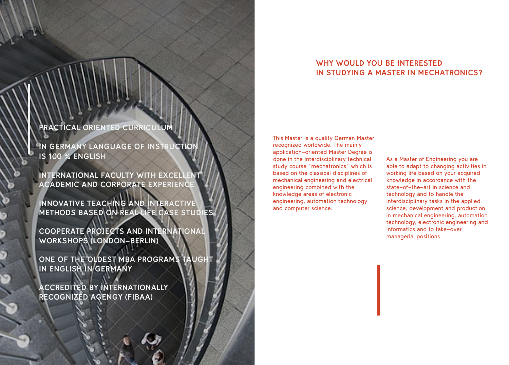### **WHY WOULD YOU BE INTERESTED IN STUDYING A MASTER IN MECHATRONICS?**

**PRACTICAL ORIENTED CURRICULUM**

**IN GERMANY LANGUAGE OF INSTRUCTION IS 100** % **ENGLISH**

**INTERNATIONAL FACULTY WITH EXCELLENT ACADEMIC AND CORPORATE EXPERIENCE**

**INNOVATIVE TEACHING AND INTERACTIVE METHODS BASED ON REAL LIFE CASE STUDIES**

**COOPERATE PROJECTS AND INTERNATIONAL WORKSHOPS (LONDON-BERLIN)**

**ONE OF THE OLDEST MBA PROGRAMS TAUGHT IN ENGLISH IN GERMANY** 

**ACCREDITED BY INTERNATIONALLY RECOGNIZED AGENGY (FIBAA)**

ى م. م.<br>م

This Master is a quality German Master recognized worldwide. The mainly application-oriented Master Degree is done in the interdisciplinary technical study course "mechatronics" which is based on the classical disciplines of mechanical engineering and electrical engineering combined with the knowledge areas of electronic engineering, automation technology and computer science.

As a Master of Engineering you are able to adapt to changing activities in working life based on your acquired knowledge in accordance with the state-of-the-art in science and technology and to handle the interdisciplinary tasks in the applied science, development and production in mechanical engineering, automation technology, electronic engineering and informatics and to take-over managerial positions.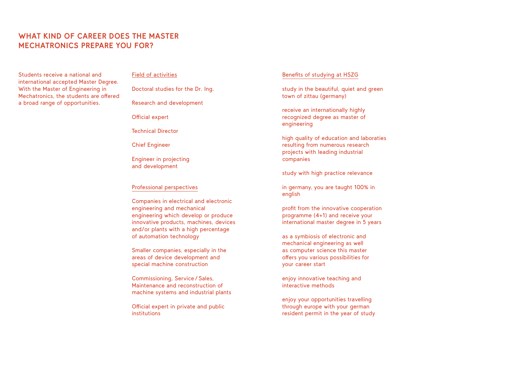### **WHAT KIND OF CAREER DOES THE MASTER MECHATRONICS PREPARE YOU FOR?**

Students receive a national and international accepted Master Degree. With the Master of Engineering in Mechatronics, the students are offered a broad range of opportunities.

#### Field of activities

Doctoral studies for the Dr. Ing.

Research and development

Official expert

Technical Director

Chief Engineer

Engineer in projecting and development

#### Professional perspectives

Companies in electrical and electronic engineering and mechanical engineering which develop or produce innovative products, machines, devices and/or plants with a high percentage of automation technology

Smaller companies, especially in the areas of device development and special machine construction

Commissioning, Service / Sales, Maintenance and reconstruction of machine systems and industrial plants

Official expert in private and public institutions

#### Benefits of studying at HSZG

study in the beautiful, quiet and green town of zittau (germany)

receive an internationally highly recognized degree as master of engineering

high quality of education and laboraties resulting from numerous research projects with leading industrial companies

study with high practice relevance

in germany, you are taught 100% in english

profit from the innovative cooperation programme (4+1) and receive your international master degree in 5 years

as a symbiosis of electronic and mechanical engineering as well as computer science this master offers you various possibilities for your career start

enjoy innovative teaching and interactive methods

enjoy your opportunities travelling through europe with your german resident permit in the year of study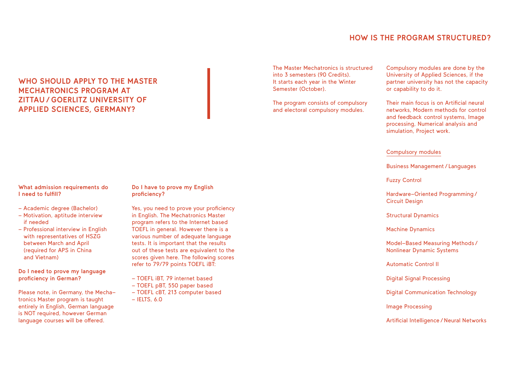### **HOW IS THE PROGRAM STRUCTURED?**

### **WHO SHOULD APPLY TO THE MASTER MECHATRONICS PROGRAM AT ZITTAU / GOERLITZ UNIVERSITY OF APPLIED SCIENCES, GERMANY?**

The Master Mechatronics is structured into 3 semesters (90 Credits). It starts each year in the Winter Semester (October).

The program consists of compulsory and electoral compulsory modules.

Compulsory modules are done by the University of Applied Sciences, if the partner university has not the capacity or capability to do it.

Their main focus is on Artificial neural networks, Modern methods for control and feedback control systems, Image processing, Numerical analysis and simulation, Project work.

#### Compulsory modules

Business Management / Languages

Fuzzy Control

Hardware-Oriented Programming / Circuit Design

Structural Dynamics

Machine Dynamics

Model-Based Measuring Methods / Nonlinear Dynamic Systems

Automatic Control II

Digital Signal Processing

Digital Communication Technology

Image Processing

Artificial Intelligence / Neural Networks

#### **What admission requirements do I need to fulfill?**

- Academic degree (Bachelor)
- Motivation, aptitude interview if needed
- Professional interview in English with representatives of HSZG between March and April (required for APS in China and Vietnam)

**proficiency in German?** 

Please note, in Germany, the Mechatronics Master program is taught entirely in English, German language is NOT required, however German language courses will be offered.

**Do I have to prove my English proficiency?** 

Yes, you need to prove your proficiency in English. The Mechatronics Master program refers to the Internet based TOEFL in general. However there is a various number of adequate language tests. It is important that the results out of these tests are equivalent to the scores given here. The following scores refer to 79/79 points TOEFL iBT:

- TOEFL iBT, 79 internet based
- TOEFL pBT, 550 paper based
- TOEFL cBT, 213 computer based
- $-$  IELTS, 6.0

- 
- 

**Do I need to prove my language**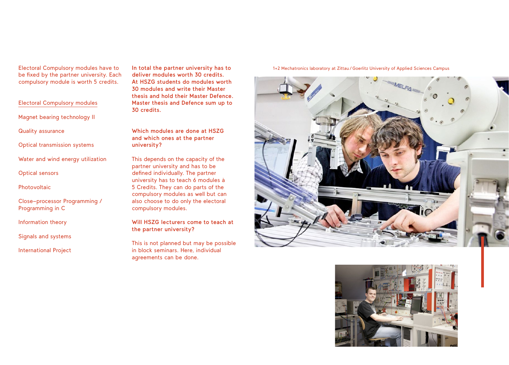Electoral Compulsory modules have to be fixed by the partner university. Each compulsory module is worth 5 credits.

#### Electoral Compulsory modules

Magnet bearing technology II

Quality assurance

Optical transmission systems

Water and wind energy utilization

Optical sensors

Photovoltaic

Close-processor Programming / Programming in C

Information theory

Signals and systems

International Project

**In total the partner university has to deliver modules worth 30 credits. At HSZG students do modules worth 30 modules and write their Master thesis and hold their Master Defence. Master thesis and Defence sum up to 30 credits.** 

**Which modules are done at HSZG and which ones at the partner university?**

This depends on the capacity of the partner university and has to be defined individually. The partner university has to teach 6 modules à 5 Credits. They can do parts of the compulsory modules as well but can also choose to do only the electoral compulsory modules.

**Will HSZG lecturers come to teach at the partner university?**

This is not planned but may be possible in block seminars. Here, individual agreements can be done.

#### 1+2 Mechatronics laboratory at Zittau / Goerlitz University of Applied Sciences Campus



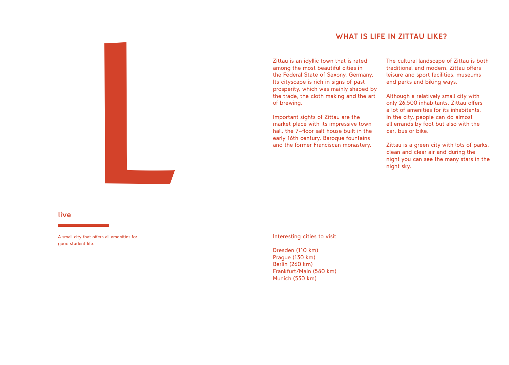### **WHAT IS LIFE IN ZITTAU LIKE?**

Zittau is an idyllic town that is rated among the most beautiful cities in the Federal State of Saxony, Germany. Its cityscape is rich in signs of past prosperity, which was mainly shaped by the trade, the cloth making and the art of brewing.

Important sights of Zittau are the market place with its impressive town hall, the 7-floor salt house built in the early 16th century, Baroque fountains and the former Franciscan monastery. The cultural landscape of Zittau is both traditional and modern. Zittau offers leisure and sport facilities, museums and parks and biking ways.

Although a relatively small city with only 26.500 inhabitants, Zittau offers a lot of amenities for its inhabitants. In the city, people can do almost all errands by foot but also with the car, bus or bike.

Zittau is a green city with lots of parks, clean and clear air and during the night you can see the many stars in the night sky.



#### **live**

A small city that offers all amenities for good student life.

#### Interesting cities to visit

Dresden (110 km) Prague (130 km) Berlin (260 km) Frankfurt/Main (580 km) Munich (530 km)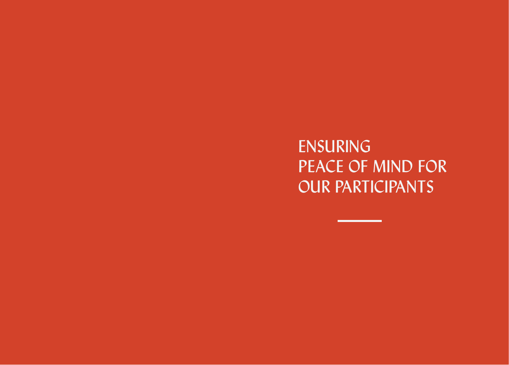**ENSURING** pEaCE of MinD for our partiCipants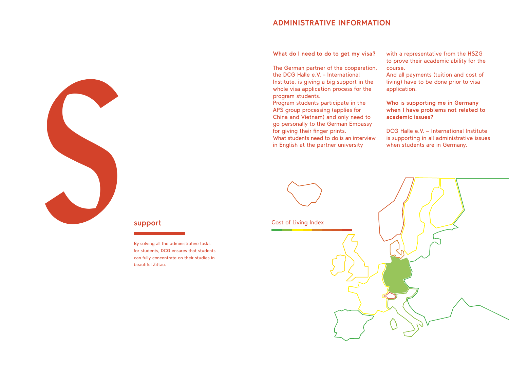### **ADMINISTRATIVE INFORMATION**

**What do I need to do to get my visa?**

The German partner of the cooperation, the DCG Halle e.V. – International Institute, is giving a big support in the whole visa application process for the program students.

Program students participate in the APS group processing (applies for China and Vietnam) and only need to go personally to the German Embassy for giving their finger prints. What students need to do is an interview in English at the partner university

with a representative from the HSZG to prove their academic ability for the course.

And all payments (tuition and cost of living) have to be done prior to visa application.

**Who is supporting me in Germany when I have problems not related to academic issues?**

DCG Halle e.V. - International Institute is supporting in all administrative issues when students are in Germany.



**support**<br>By solving all<br>for students,<br>can fully conc By solving all the administrative tasks for students, DCG ensures that students can fully concentrate on their studies in beautiful Zittau.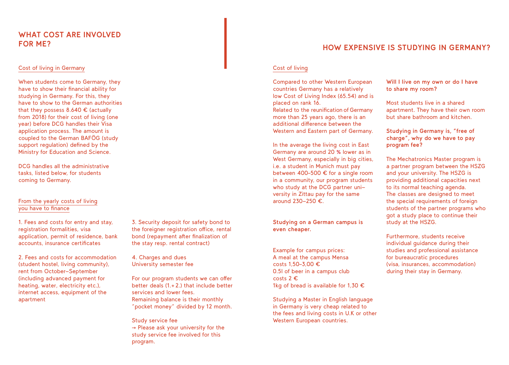### **WHAT COST ARE INVOLVED FOR ME?**

#### Cost of living in Germany

When students come to Germany, they have to show their financial ability for studying in Germany. For this, they have to show to the German authorities that they possess 8.640 € (actually from 2018) for their cost of living (one year) before DCG handles their Visa application process. The amount is coupled to the German BAFÖG (study support regulation) defined by the Ministry for Education and Science.

DCG handles all the administrative tasks, listed below, for students coming to Germany.

#### From the yearly costs of living you have to finance

1. Fees and costs for entry and stay, registration formalities, visa application, permit of residence, bank accounts, insurance certificates

2. Fees and costs for accommodation (student hostel, living community), rent from October-September (including advanced payment for heating, water, electricity etc.), internet access, equipment of the apartment

3. Security deposit for safety bond to the foreigner registration office, rental bond (repayment after finalization of the stay resp. rental contract)

4. Charges and dues University semester fee

For our program students we can offer better deals (1.+ 2.) that include better services and lower fees. Remaining balance is their monthly "pocket money" divided by 12 month.

Study service fee  $\rightarrow$  Please ask your university for the study service fee involved for this program.

### **HOW EXPENSIVE IS STUDYING IN GERMANY?**

#### Cost of living

Compared to other Western European countries Germany has a relatively low Cost of Living Index (65.54) and is placed on rank 16.

Related to the reunification of Germany more than 25 years ago, there is an additional difference between the Western and Eastern part of Germany.

In the average the living cost in East Germany are around 20 % lower as in West Germany, especially in big cities, i.e. a student in Munich must pay between 400–500 € for a single room in a community, our program students who study at the DCG partner university in Zittau pay for the same around 230-250 €.

#### **Studying on a German campus is even cheaper.**

Example for campus prices: A meal at the campus Mensa costs 1,50–3,00 € 0.5l of beer in a campus club costs 2 € 1kg of bread is available for 1,30  $\epsilon$ 

Studying a Master in English language in Germany is very cheap related to the fees and living costs in U.K or other Western European countries.

**Will I live on my own or do I have to share my room?**

Most students live in a shared apartment. They have their own room but share bathroom and kitchen.

**Studying in Germany is, "free of charge", why do we have to pay program fee?**

The Mechatronics Master program is a partner program between the HSZG and your university. The HSZG is providing additional capacities next to its normal teaching agenda. The classes are designed to meet the special requirements of foreign students of the partner programs who got a study place to continue their study at the HSZG.

Furthermore, students receive individual guidance during their studies and professional assistance for bureaucratic procedures (visa, insurances, accommodation) during their stay in Germany.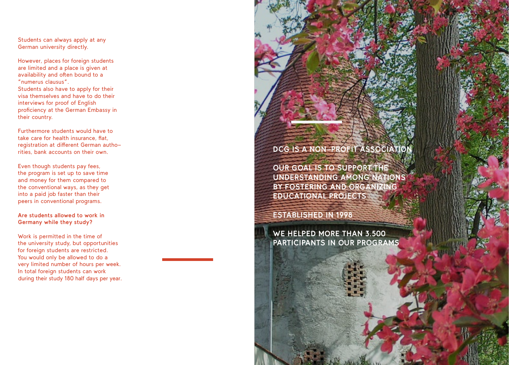Students can always apply at any German university directly.

However, places for foreign students are limited and a place is given at availability and often bound to a **"**numerus clausus **"**. Students also have to apply for their visa themselves and have to do their interviews for proof of English proficiency at the German Embassy in their country.

Furthermore students would have to take care for health insurance, flat, registration at di fferent German autho rities, bank accounts on their own.

Even though students pay fees, the program is set up to save time and money for them compared to the conventional ways, as they get into a paid job faster than their peers in conventional programs.

## **Are students allowed to work in Germany while they study?**

Work is permitted in the time of the university study, but opportunities for foreign students are restricted. You would only be allowed to do a<br>very limited number of hours per week. In total foreign students can work. during their study 180 half days per year.

### **DCG IS A NON-PROFIT ASSOCIATION**

**OUR GOAL IS TO SUPPOR T THE UNDERSTANDING AMONG NATIONS BY FOSTERING AND ORGANI ZING EDUCATIONAL PROJECTS** 

**ESTABLISHED IN 1998**

**WE HELPED MORE THAN 3.500 PARTICIPANTS IN OUR PROGRAMS**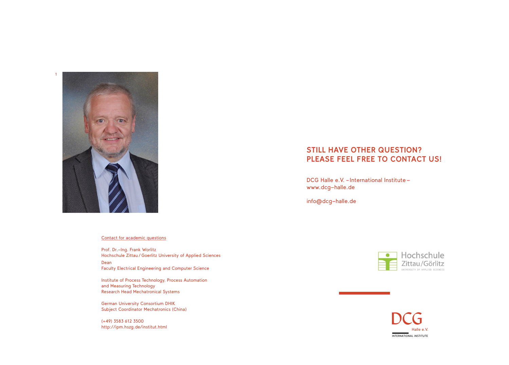

#### Contact for academic questions

Prof. Dr.-Ing. Frank Worlitz Hochschule Zittau / Goerlitz University of Applied Sciences Dean Faculty Electrical Engineering and Computer Science

Institute of Process Technology, Process Automation and Measuring Technology Research Head Mechatronical Systems

German University Consortium DHIK Subject Coordinator Mechatronics (China)

(+49) 3583 612 3500 <http://ipm.hszg.de/institut.html>

### **STILL HAVE OTHER QUESTION? PLEASE FEEL FREE TO CONTACT US!**

DCG Halle e.V. - International Institute [www.dcg-halle.de](http://www.dcg-halle.de)

[info@dcg-halle.de](mailto:info%40dcg-halle.de?subject=)